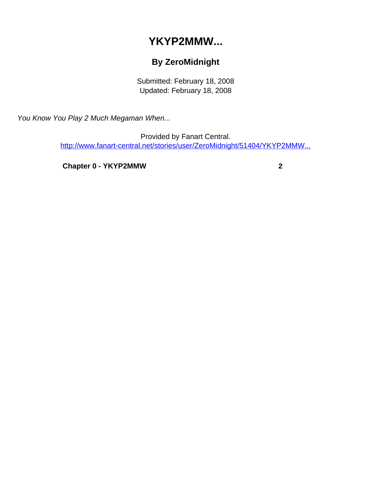## **YKYP2MMW...**

## **By ZeroMidnight**

Submitted: February 18, 2008 Updated: February 18, 2008

<span id="page-0-0"></span>You Know You Play 2 Much Megaman When...

Provided by Fanart Central. [http://www.fanart-central.net/stories/user/ZeroMidnight/51404/YKYP2MMW...](#page-0-0)

**[Chapter 0 - YKYP2MMW](#page-1-0) [2](#page-1-0)**